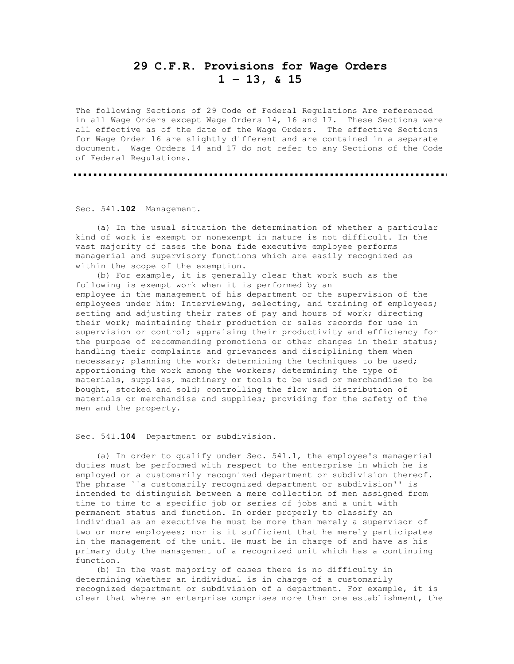# **29 C.F.R. Provisions for Wage Orders 1 – 13, & 15**

The following Sections of 29 Code of Federal Regulations Are referenced in all Wage Orders except Wage Orders 14, 16 and 17. These Sections were all effective as of the date of the Wage Orders. The effective Sections for Wage Order 16 are slightly different and are contained in a separate document. Wage Orders 14 and 17 do not refer to any Sections of the Code of Federal Regulations.

Sec. 541.**102** Management.

 (a) In the usual situation the determination of whether a particular kind of work is exempt or nonexempt in nature is not difficult. In the vast majority of cases the bona fide executive employee performs managerial and supervisory functions which are easily recognized as within the scope of the exemption.

 (b) For example, it is generally clear that work such as the following is exempt work when it is performed by an employee in the management of his department or the supervision of the employees under him: Interviewing, selecting, and training of employees; setting and adjusting their rates of pay and hours of work; directing their work; maintaining their production or sales records for use in supervision or control; appraising their productivity and efficiency for the purpose of recommending promotions or other changes in their status; handling their complaints and grievances and disciplining them when necessary; planning the work; determining the techniques to be used; apportioning the work among the workers; determining the type of materials, supplies, machinery or tools to be used or merchandise to be bought, stocked and sold; controlling the flow and distribution of materials or merchandise and supplies; providing for the safety of the men and the property.

Sec. 541.**104** Department or subdivision.

 (a) In order to qualify under Sec. 541.1, the employee's managerial duties must be performed with respect to the enterprise in which he is employed or a customarily recognized department or subdivision thereof. The phrase ``a customarily recognized department or subdivision'' is intended to distinguish between a mere collection of men assigned from time to time to a specific job or series of jobs and a unit with permanent status and function. In order properly to classify an individual as an executive he must be more than merely a supervisor of two or more employees; nor is it sufficient that he merely participates in the management of the unit. He must be in charge of and have as his primary duty the management of a recognized unit which has a continuing function.

 (b) In the vast majority of cases there is no difficulty in determining whether an individual is in charge of a customarily recognized department or subdivision of a department. For example, it is clear that where an enterprise comprises more than one establishment, the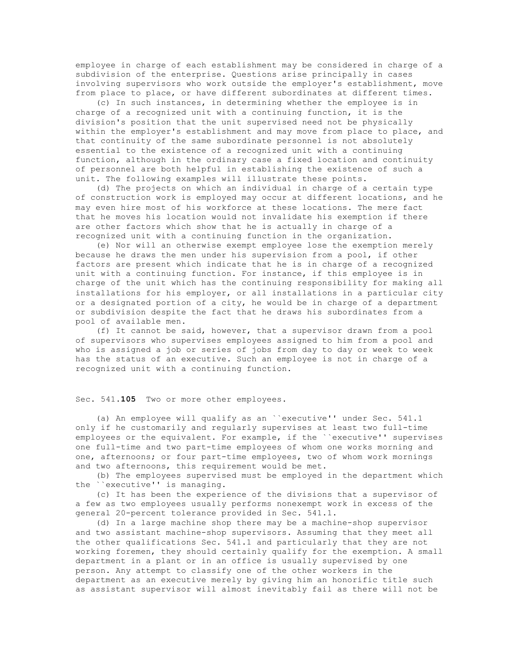employee in charge of each establishment may be considered in charge of a subdivision of the enterprise. Questions arise principally in cases involving supervisors who work outside the employer's establishment, move from place to place, or have different subordinates at different times.

 (c) In such instances, in determining whether the employee is in charge of a recognized unit with a continuing function, it is the division's position that the unit supervised need not be physically within the employer's establishment and may move from place to place, and that continuity of the same subordinate personnel is not absolutely essential to the existence of a recognized unit with a continuing function, although in the ordinary case a fixed location and continuity of personnel are both helpful in establishing the existence of such a unit. The following examples will illustrate these points.

 (d) The projects on which an individual in charge of a certain type of construction work is employed may occur at different locations, and he may even hire most of his workforce at these locations. The mere fact that he moves his location would not invalidate his exemption if there are other factors which show that he is actually in charge of a recognized unit with a continuing function in the organization.

 (e) Nor will an otherwise exempt employee lose the exemption merely because he draws the men under his supervision from a pool, if other factors are present which indicate that he is in charge of a recognized unit with a continuing function. For instance, if this employee is in charge of the unit which has the continuing responsibility for making all installations for his employer, or all installations in a particular city or a designated portion of a city, he would be in charge of a department or subdivision despite the fact that he draws his subordinates from a pool of available men.

 (f) It cannot be said, however, that a supervisor drawn from a pool of supervisors who supervises employees assigned to him from a pool and who is assigned a job or series of jobs from day to day or week to week has the status of an executive. Such an employee is not in charge of a recognized unit with a continuing function.

Sec. 541.**105** Two or more other employees.

 (a) An employee will qualify as an ``executive'' under Sec. 541.1 only if he customarily and regularly supervises at least two full-time employees or the equivalent. For example, if the ``executive'' supervises one full-time and two part-time employees of whom one works morning and one, afternoons; or four part-time employees, two of whom work mornings and two afternoons, this requirement would be met.

 (b) The employees supervised must be employed in the department which the ``executive'' is managing.

 (c) It has been the experience of the divisions that a supervisor of a few as two employees usually performs nonexempt work in excess of the general 20-percent tolerance provided in Sec. 541.1.

 (d) In a large machine shop there may be a machine-shop supervisor and two assistant machine-shop supervisors. Assuming that they meet all the other qualifications Sec. 541.1 and particularly that they are not working foremen, they should certainly qualify for the exemption. A small department in a plant or in an office is usually supervised by one person. Any attempt to classify one of the other workers in the department as an executive merely by giving him an honorific title such as assistant supervisor will almost inevitably fail as there will not be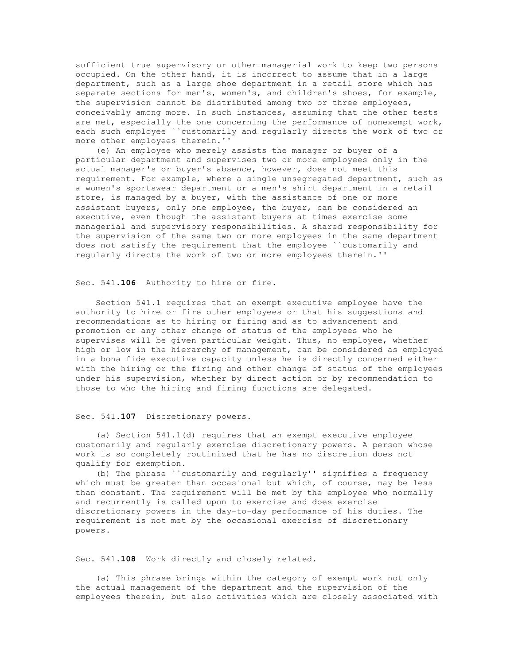sufficient true supervisory or other managerial work to keep two persons occupied. On the other hand, it is incorrect to assume that in a large department, such as a large shoe department in a retail store which has separate sections for men's, women's, and children's shoes, for example, the supervision cannot be distributed among two or three employees, conceivably among more. In such instances, assuming that the other tests are met, especially the one concerning the performance of nonexempt work, each such employee ``customarily and regularly directs the work of two or more other employees therein.''

 (e) An employee who merely assists the manager or buyer of a particular department and supervises two or more employees only in the actual manager's or buyer's absence, however, does not meet this requirement. For example, where a single unsegregated department, such as a women's sportswear department or a men's shirt department in a retail store, is managed by a buyer, with the assistance of one or more assistant buyers, only one employee, the buyer, can be considered an executive, even though the assistant buyers at times exercise some managerial and supervisory responsibilities. A shared responsibility for the supervision of the same two or more employees in the same department does not satisfy the requirement that the employee ``customarily and regularly directs the work of two or more employees therein.''

Sec. 541.**106** Authority to hire or fire.

 Section 541.1 requires that an exempt executive employee have the authority to hire or fire other employees or that his suggestions and recommendations as to hiring or firing and as to advancement and promotion or any other change of status of the employees who he supervises will be given particular weight. Thus, no employee, whether high or low in the hierarchy of management, can be considered as employed in a bona fide executive capacity unless he is directly concerned either with the hiring or the firing and other change of status of the employees under his supervision, whether by direct action or by recommendation to those to who the hiring and firing functions are delegated.

Sec. 541.**107** Discretionary powers.

 (a) Section 541.1(d) requires that an exempt executive employee customarily and regularly exercise discretionary powers. A person whose work is so completely routinized that he has no discretion does not qualify for exemption.

 (b) The phrase ``customarily and regularly'' signifies a frequency which must be greater than occasional but which, of course, may be less than constant. The requirement will be met by the employee who normally and recurrently is called upon to exercise and does exercise discretionary powers in the day-to-day performance of his duties. The requirement is not met by the occasional exercise of discretionary powers.

Sec. 541.**108** Work directly and closely related.

 (a) This phrase brings within the category of exempt work not only the actual management of the department and the supervision of the employees therein, but also activities which are closely associated with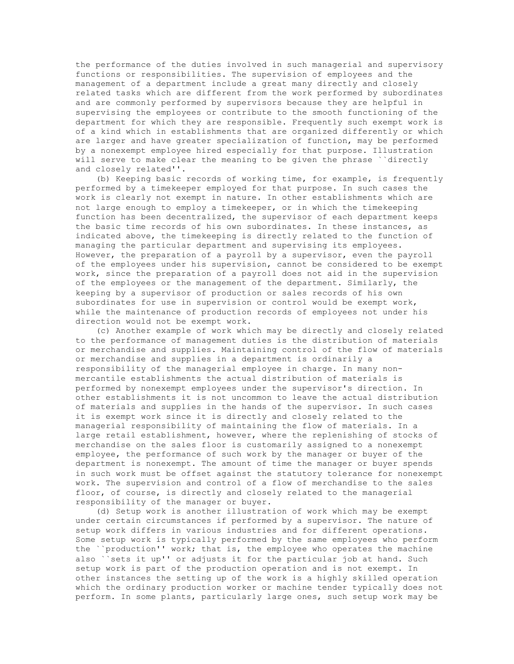the performance of the duties involved in such managerial and supervisory functions or responsibilities. The supervision of employees and the management of a department include a great many directly and closely related tasks which are different from the work performed by subordinates and are commonly performed by supervisors because they are helpful in supervising the employees or contribute to the smooth functioning of the department for which they are responsible. Frequently such exempt work is of a kind which in establishments that are organized differently or which are larger and have greater specialization of function, may be performed by a nonexempt employee hired especially for that purpose. Illustration will serve to make clear the meaning to be given the phrase ``directly and closely related''.

 (b) Keeping basic records of working time, for example, is frequently performed by a timekeeper employed for that purpose. In such cases the work is clearly not exempt in nature. In other establishments which are not large enough to employ a timekeeper, or in which the timekeeping function has been decentralized, the supervisor of each department keeps the basic time records of his own subordinates. In these instances, as indicated above, the timekeeping is directly related to the function of managing the particular department and supervising its employees. However, the preparation of a payroll by a supervisor, even the payroll of the employees under his supervision, cannot be considered to be exempt work, since the preparation of a payroll does not aid in the supervision of the employees or the management of the department. Similarly, the keeping by a supervisor of production or sales records of his own subordinates for use in supervision or control would be exempt work, while the maintenance of production records of employees not under his direction would not be exempt work.

 (c) Another example of work which may be directly and closely related to the performance of management duties is the distribution of materials or merchandise and supplies. Maintaining control of the flow of materials or merchandise and supplies in a department is ordinarily a responsibility of the managerial employee in charge. In many nonmercantile establishments the actual distribution of materials is performed by nonexempt employees under the supervisor's direction. In other establishments it is not uncommon to leave the actual distribution of materials and supplies in the hands of the supervisor. In such cases it is exempt work since it is directly and closely related to the managerial responsibility of maintaining the flow of materials. In a large retail establishment, however, where the replenishing of stocks of merchandise on the sales floor is customarily assigned to a nonexempt employee, the performance of such work by the manager or buyer of the department is nonexempt. The amount of time the manager or buyer spends in such work must be offset against the statutory tolerance for nonexempt work. The supervision and control of a flow of merchandise to the sales floor, of course, is directly and closely related to the managerial responsibility of the manager or buyer.

 (d) Setup work is another illustration of work which may be exempt under certain circumstances if performed by a supervisor. The nature of setup work differs in various industries and for different operations. Some setup work is typically performed by the same employees who perform the ``production'' work; that is, the employee who operates the machine also ``sets it up'' or adjusts it for the particular job at hand. Such setup work is part of the production operation and is not exempt. In other instances the setting up of the work is a highly skilled operation which the ordinary production worker or machine tender typically does not perform. In some plants, particularly large ones, such setup work may be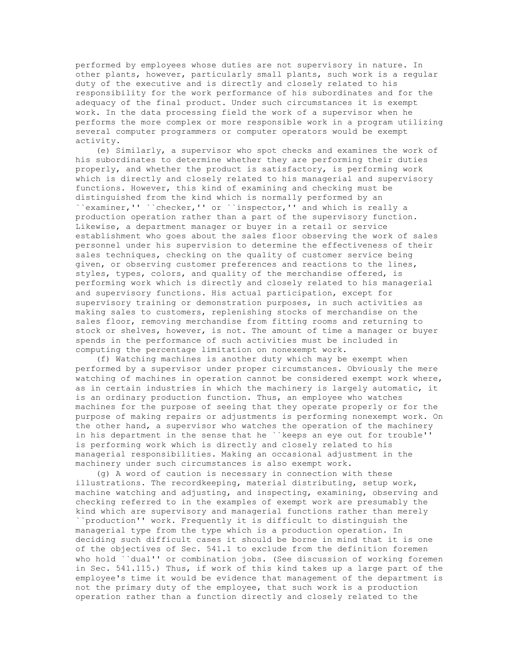performed by employees whose duties are not supervisory in nature. In other plants, however, particularly small plants, such work is a regular duty of the executive and is directly and closely related to his responsibility for the work performance of his subordinates and for the adequacy of the final product. Under such circumstances it is exempt work. In the data processing field the work of a supervisor when he performs the more complex or more responsible work in a program utilizing several computer programmers or computer operators would be exempt activity.

 (e) Similarly, a supervisor who spot checks and examines the work of his subordinates to determine whether they are performing their duties properly, and whether the product is satisfactory, is performing work which is directly and closely related to his managerial and supervisory functions. However, this kind of examining and checking must be distinguished from the kind which is normally performed by an ``examiner,'' ``checker,'' or ``inspector,'' and which is really a production operation rather than a part of the supervisory function. Likewise, a department manager or buyer in a retail or service establishment who goes about the sales floor observing the work of sales personnel under his supervision to determine the effectiveness of their sales techniques, checking on the quality of customer service being given, or observing customer preferences and reactions to the lines, styles, types, colors, and quality of the merchandise offered, is performing work which is directly and closely related to his managerial and supervisory functions. His actual participation, except for supervisory training or demonstration purposes, in such activities as making sales to customers, replenishing stocks of merchandise on the sales floor, removing merchandise from fitting rooms and returning to stock or shelves, however, is not. The amount of time a manager or buyer spends in the performance of such activities must be included in computing the percentage limitation on nonexempt work.

 (f) Watching machines is another duty which may be exempt when performed by a supervisor under proper circumstances. Obviously the mere watching of machines in operation cannot be considered exempt work where, as in certain industries in which the machinery is largely automatic, it is an ordinary production function. Thus, an employee who watches machines for the purpose of seeing that they operate properly or for the purpose of making repairs or adjustments is performing nonexempt work. On the other hand, a supervisor who watches the operation of the machinery in his department in the sense that he ``keeps an eye out for trouble'' is performing work which is directly and closely related to his managerial responsibilities. Making an occasional adjustment in the machinery under such circumstances is also exempt work.

 (g) A word of caution is necessary in connection with these illustrations. The recordkeeping, material distributing, setup work, machine watching and adjusting, and inspecting, examining, observing and checking referred to in the examples of exempt work are presumably the kind which are supervisory and managerial functions rather than merely ``production'' work. Frequently it is difficult to distinguish the managerial type from the type which is a production operation. In deciding such difficult cases it should be borne in mind that it is one of the objectives of Sec. 541.1 to exclude from the definition foremen who hold ``dual'' or combination jobs. (See discussion of working foremen in Sec. 541.115.) Thus, if work of this kind takes up a large part of the employee's time it would be evidence that management of the department is not the primary duty of the employee, that such work is a production operation rather than a function directly and closely related to the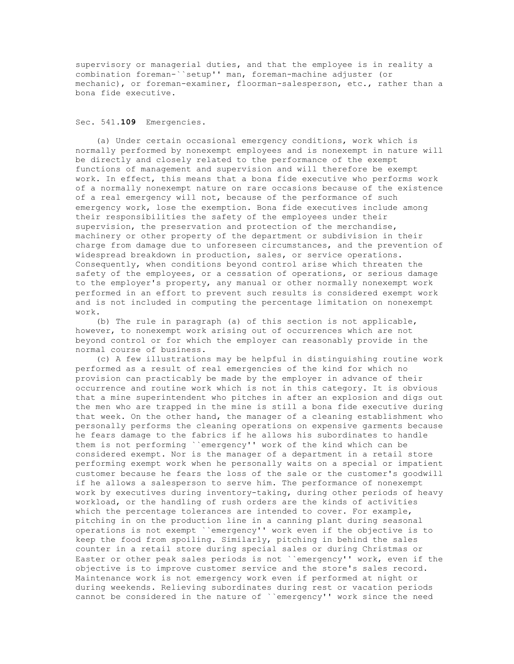supervisory or managerial duties, and that the employee is in reality a combination foreman-``setup'' man, foreman-machine adjuster (or mechanic), or foreman-examiner, floorman-salesperson, etc., rather than a bona fide executive.

#### Sec. 541.**109** Emergencies.

 (a) Under certain occasional emergency conditions, work which is normally performed by nonexempt employees and is nonexempt in nature will be directly and closely related to the performance of the exempt functions of management and supervision and will therefore be exempt work. In effect, this means that a bona fide executive who performs work of a normally nonexempt nature on rare occasions because of the existence of a real emergency will not, because of the performance of such emergency work, lose the exemption. Bona fide executives include among their responsibilities the safety of the employees under their supervision, the preservation and protection of the merchandise, machinery or other property of the department or subdivision in their charge from damage due to unforeseen circumstances, and the prevention of widespread breakdown in production, sales, or service operations. Consequently, when conditions beyond control arise which threaten the safety of the employees, or a cessation of operations, or serious damage to the employer's property, any manual or other normally nonexempt work performed in an effort to prevent such results is considered exempt work and is not included in computing the percentage limitation on nonexempt work.

 (b) The rule in paragraph (a) of this section is not applicable, however, to nonexempt work arising out of occurrences which are not beyond control or for which the employer can reasonably provide in the normal course of business.

 (c) A few illustrations may be helpful in distinguishing routine work performed as a result of real emergencies of the kind for which no provision can practicably be made by the employer in advance of their occurrence and routine work which is not in this category. It is obvious that a mine superintendent who pitches in after an explosion and digs out the men who are trapped in the mine is still a bona fide executive during that week. On the other hand, the manager of a cleaning establishment who personally performs the cleaning operations on expensive garments because he fears damage to the fabrics if he allows his subordinates to handle them is not performing ``emergency'' work of the kind which can be considered exempt. Nor is the manager of a department in a retail store performing exempt work when he personally waits on a special or impatient customer because he fears the loss of the sale or the customer's goodwill if he allows a salesperson to serve him. The performance of nonexempt work by executives during inventory-taking, during other periods of heavy workload, or the handling of rush orders are the kinds of activities which the percentage tolerances are intended to cover. For example, pitching in on the production line in a canning plant during seasonal operations is not exempt ``emergency'' work even if the objective is to keep the food from spoiling. Similarly, pitching in behind the sales counter in a retail store during special sales or during Christmas or Easter or other peak sales periods is not ``emergency'' work, even if the objective is to improve customer service and the store's sales record. Maintenance work is not emergency work even if performed at night or during weekends. Relieving subordinates during rest or vacation periods cannot be considered in the nature of ``emergency'' work since the need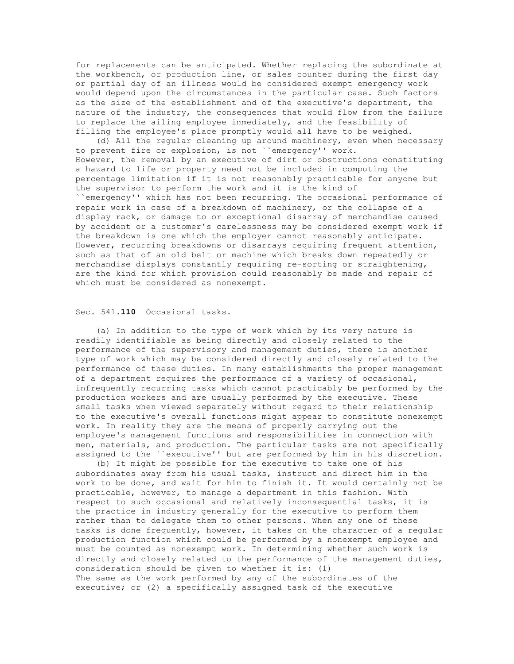for replacements can be anticipated. Whether replacing the subordinate at the workbench, or production line, or sales counter during the first day or partial day of an illness would be considered exempt emergency work would depend upon the circumstances in the particular case. Such factors as the size of the establishment and of the executive's department, the nature of the industry, the consequences that would flow from the failure to replace the ailing employee immediately, and the feasibility of filling the employee's place promptly would all have to be weighed.

 (d) All the regular cleaning up around machinery, even when necessary to prevent fire or explosion, is not ``emergency'' work. However, the removal by an executive of dirt or obstructions constituting a hazard to life or property need not be included in computing the percentage limitation if it is not reasonably practicable for anyone but the supervisor to perform the work and it is the kind of ``emergency'' which has not been recurring. The occasional performance of repair work in case of a breakdown of machinery, or the collapse of a display rack, or damage to or exceptional disarray of merchandise caused by accident or a customer's carelessness may be considered exempt work if the breakdown is one which the employer cannot reasonably anticipate. However, recurring breakdowns or disarrays requiring frequent attention, such as that of an old belt or machine which breaks down repeatedly or merchandise displays constantly requiring re-sorting or straightening, are the kind for which provision could reasonably be made and repair of which must be considered as nonexempt.

#### Sec. 541.**110** Occasional tasks.

 (a) In addition to the type of work which by its very nature is readily identifiable as being directly and closely related to the performance of the supervisory and management duties, there is another type of work which may be considered directly and closely related to the performance of these duties. In many establishments the proper management of a department requires the performance of a variety of occasional, infrequently recurring tasks which cannot practicably be performed by the production workers and are usually performed by the executive. These small tasks when viewed separately without regard to their relationship to the executive's overall functions might appear to constitute nonexempt work. In reality they are the means of properly carrying out the employee's management functions and responsibilities in connection with men, materials, and production. The particular tasks are not specifically assigned to the ``executive'' but are performed by him in his discretion.

 (b) It might be possible for the executive to take one of his subordinates away from his usual tasks, instruct and direct him in the work to be done, and wait for him to finish it. It would certainly not be practicable, however, to manage a department in this fashion. With respect to such occasional and relatively inconsequential tasks, it is the practice in industry generally for the executive to perform them rather than to delegate them to other persons. When any one of these tasks is done frequently, however, it takes on the character of a regular production function which could be performed by a nonexempt employee and must be counted as nonexempt work. In determining whether such work is directly and closely related to the performance of the management duties, consideration should be given to whether it is: (1) The same as the work performed by any of the subordinates of the executive; or (2) a specifically assigned task of the executive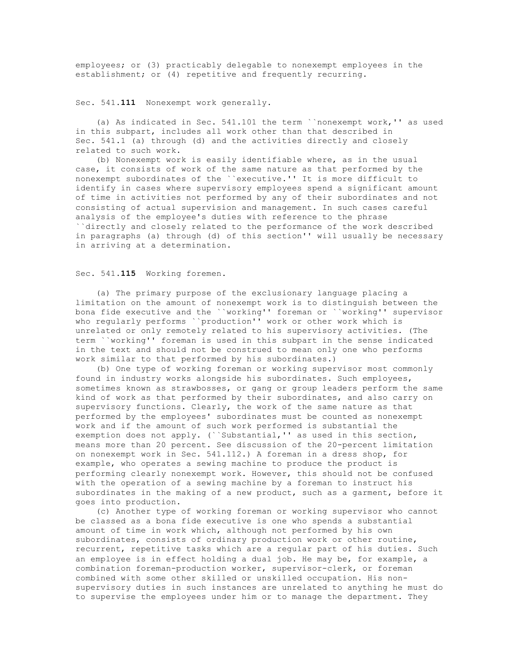employees; or (3) practicably delegable to nonexempt employees in the establishment; or (4) repetitive and frequently recurring.

Sec. 541.**111** Nonexempt work generally.

 (a) As indicated in Sec. 541.101 the term ``nonexempt work,'' as used in this subpart, includes all work other than that described in Sec. 541.1 (a) through (d) and the activities directly and closely related to such work.

 (b) Nonexempt work is easily identifiable where, as in the usual case, it consists of work of the same nature as that performed by the nonexempt subordinates of the ``executive.'' It is more difficult to identify in cases where supervisory employees spend a significant amount of time in activities not performed by any of their subordinates and not consisting of actual supervision and management. In such cases careful analysis of the employee's duties with reference to the phrase ``directly and closely related to the performance of the work described in paragraphs (a) through (d) of this section'' will usually be necessary in arriving at a determination.

#### Sec. 541.**115** Working foremen.

 (a) The primary purpose of the exclusionary language placing a limitation on the amount of nonexempt work is to distinguish between the bona fide executive and the ``working'' foreman or ``working'' supervisor who regularly performs ``production'' work or other work which is unrelated or only remotely related to his supervisory activities. (The term ``working'' foreman is used in this subpart in the sense indicated in the text and should not be construed to mean only one who performs work similar to that performed by his subordinates.)

 (b) One type of working foreman or working supervisor most commonly found in industry works alongside his subordinates. Such employees, sometimes known as strawbosses, or gang or group leaders perform the same kind of work as that performed by their subordinates, and also carry on supervisory functions. Clearly, the work of the same nature as that performed by the employees' subordinates must be counted as nonexempt work and if the amount of such work performed is substantial the exemption does not apply. (``Substantial,'' as used in this section, means more than 20 percent. See discussion of the 20-percent limitation on nonexempt work in Sec. 541.112.) A foreman in a dress shop, for example, who operates a sewing machine to produce the product is performing clearly nonexempt work. However, this should not be confused with the operation of a sewing machine by a foreman to instruct his subordinates in the making of a new product, such as a garment, before it goes into production.

 (c) Another type of working foreman or working supervisor who cannot be classed as a bona fide executive is one who spends a substantial amount of time in work which, although not performed by his own subordinates, consists of ordinary production work or other routine, recurrent, repetitive tasks which are a regular part of his duties. Such an employee is in effect holding a dual job. He may be, for example, a combination foreman-production worker, supervisor-clerk, or foreman combined with some other skilled or unskilled occupation. His nonsupervisory duties in such instances are unrelated to anything he must do to supervise the employees under him or to manage the department. They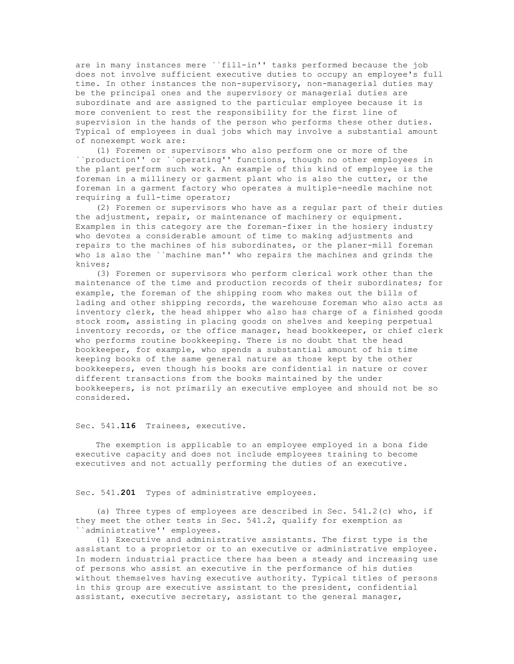are in many instances mere ``fill-in'' tasks performed because the job does not involve sufficient executive duties to occupy an employee's full time. In other instances the non-supervisory, non-managerial duties may be the principal ones and the supervisory or managerial duties are subordinate and are assigned to the particular employee because it is more convenient to rest the responsibility for the first line of supervision in the hands of the person who performs these other duties. Typical of employees in dual jobs which may involve a substantial amount of nonexempt work are:

 (1) Foremen or supervisors who also perform one or more of the ``production'' or ``operating'' functions, though no other employees in the plant perform such work. An example of this kind of employee is the foreman in a millinery or garment plant who is also the cutter, or the foreman in a garment factory who operates a multiple-needle machine not requiring a full-time operator;

 (2) Foremen or supervisors who have as a regular part of their duties the adjustment, repair, or maintenance of machinery or equipment. Examples in this category are the foreman-fixer in the hosiery industry who devotes a considerable amount of time to making adjustments and repairs to the machines of his subordinates, or the planer-mill foreman who is also the ``machine man'' who repairs the machines and grinds the knives;

 (3) Foremen or supervisors who perform clerical work other than the maintenance of the time and production records of their subordinates; for example, the foreman of the shipping room who makes out the bills of lading and other shipping records, the warehouse foreman who also acts as inventory clerk, the head shipper who also has charge of a finished goods stock room, assisting in placing goods on shelves and keeping perpetual inventory records, or the office manager, head bookkeeper, or chief clerk who performs routine bookkeeping. There is no doubt that the head bookkeeper, for example, who spends a substantial amount of his time keeping books of the same general nature as those kept by the other bookkeepers, even though his books are confidential in nature or cover different transactions from the books maintained by the under bookkeepers, is not primarily an executive employee and should not be so considered.

## Sec. 541.**116** Trainees, executive.

 The exemption is applicable to an employee employed in a bona fide executive capacity and does not include employees training to become executives and not actually performing the duties of an executive.

Sec. 541.**201** Types of administrative employees.

 (a) Three types of employees are described in Sec. 541.2(c) who, if they meet the other tests in Sec. 541.2, qualify for exemption as `administrative'' employees.

 (1) Executive and administrative assistants. The first type is the assistant to a proprietor or to an executive or administrative employee. In modern industrial practice there has been a steady and increasing use of persons who assist an executive in the performance of his duties without themselves having executive authority. Typical titles of persons in this group are executive assistant to the president, confidential assistant, executive secretary, assistant to the general manager,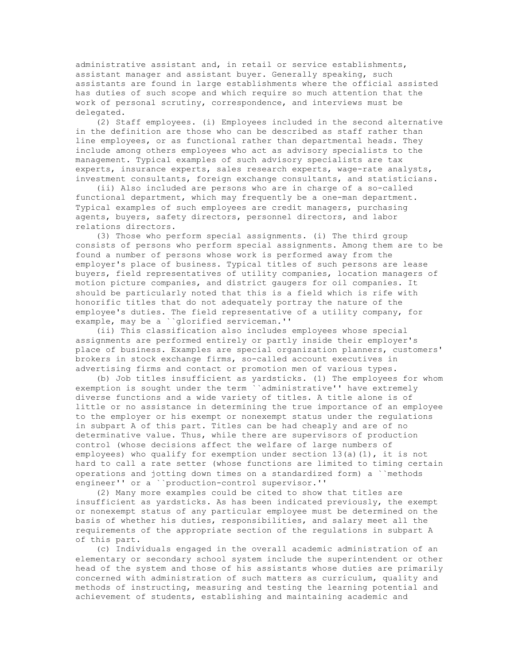administrative assistant and, in retail or service establishments, assistant manager and assistant buyer. Generally speaking, such assistants are found in large establishments where the official assisted has duties of such scope and which require so much attention that the work of personal scrutiny, correspondence, and interviews must be delegated.

 (2) Staff employees. (i) Employees included in the second alternative in the definition are those who can be described as staff rather than line employees, or as functional rather than departmental heads. They include among others employees who act as advisory specialists to the management. Typical examples of such advisory specialists are tax experts, insurance experts, sales research experts, wage-rate analysts, investment consultants, foreign exchange consultants, and statisticians.

 (ii) Also included are persons who are in charge of a so-called functional department, which may frequently be a one-man department. Typical examples of such employees are credit managers, purchasing agents, buyers, safety directors, personnel directors, and labor relations directors.

 (3) Those who perform special assignments. (i) The third group consists of persons who perform special assignments. Among them are to be found a number of persons whose work is performed away from the employer's place of business. Typical titles of such persons are lease buyers, field representatives of utility companies, location managers of motion picture companies, and district gaugers for oil companies. It should be particularly noted that this is a field which is rife with honorific titles that do not adequately portray the nature of the employee's duties. The field representative of a utility company, for example, may be a ``glorified serviceman.''

 (ii) This classification also includes employees whose special assignments are performed entirely or partly inside their employer's place of business. Examples are special organization planners, customers' brokers in stock exchange firms, so-called account executives in advertising firms and contact or promotion men of various types.

 (b) Job titles insufficient as yardsticks. (1) The employees for whom exemption is sought under the term ``administrative'' have extremely diverse functions and a wide variety of titles. A title alone is of little or no assistance in determining the true importance of an employee to the employer or his exempt or nonexempt status under the regulations in subpart A of this part. Titles can be had cheaply and are of no determinative value. Thus, while there are supervisors of production control (whose decisions affect the welfare of large numbers of employees) who qualify for exemption under section  $13(a)(1)$ , it is not hard to call a rate setter (whose functions are limited to timing certain operations and jotting down times on a standardized form) a ``methods engineer'' or a ``production-control supervisor.''

 (2) Many more examples could be cited to show that titles are insufficient as yardsticks. As has been indicated previously, the exempt or nonexempt status of any particular employee must be determined on the basis of whether his duties, responsibilities, and salary meet all the requirements of the appropriate section of the regulations in subpart A of this part.

 (c) Individuals engaged in the overall academic administration of an elementary or secondary school system include the superintendent or other head of the system and those of his assistants whose duties are primarily concerned with administration of such matters as curriculum, quality and methods of instructing, measuring and testing the learning potential and achievement of students, establishing and maintaining academic and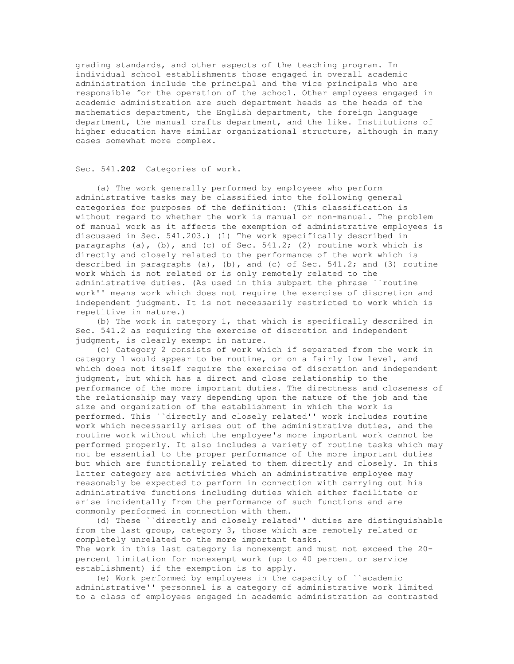grading standards, and other aspects of the teaching program. In individual school establishments those engaged in overall academic administration include the principal and the vice principals who are responsible for the operation of the school. Other employees engaged in academic administration are such department heads as the heads of the mathematics department, the English department, the foreign language department, the manual crafts department, and the like. Institutions of higher education have similar organizational structure, although in many cases somewhat more complex.

## Sec. 541.**202** Categories of work.

 (a) The work generally performed by employees who perform administrative tasks may be classified into the following general categories for purposes of the definition: (This classification is without regard to whether the work is manual or non-manual. The problem of manual work as it affects the exemption of administrative employees is discussed in Sec. 541.203.) (1) The work specifically described in paragraphs (a), (b), and (c) of Sec.  $541.2$ ; (2) routine work which is directly and closely related to the performance of the work which is described in paragraphs (a), (b), and (c) of Sec.  $541.2$ ; and (3) routine work which is not related or is only remotely related to the administrative duties. (As used in this subpart the phrase ``routine work'' means work which does not require the exercise of discretion and independent judgment. It is not necessarily restricted to work which is repetitive in nature.)

 (b) The work in category 1, that which is specifically described in Sec. 541.2 as requiring the exercise of discretion and independent judgment, is clearly exempt in nature.

 (c) Category 2 consists of work which if separated from the work in category 1 would appear to be routine, or on a fairly low level, and which does not itself require the exercise of discretion and independent judgment, but which has a direct and close relationship to the performance of the more important duties. The directness and closeness of the relationship may vary depending upon the nature of the job and the size and organization of the establishment in which the work is performed. This ``directly and closely related'' work includes routine work which necessarily arises out of the administrative duties, and the routine work without which the employee's more important work cannot be performed properly. It also includes a variety of routine tasks which may not be essential to the proper performance of the more important duties but which are functionally related to them directly and closely. In this latter category are activities which an administrative employee may reasonably be expected to perform in connection with carrying out his administrative functions including duties which either facilitate or arise incidentally from the performance of such functions and are commonly performed in connection with them.

 (d) These ``directly and closely related'' duties are distinguishable from the last group, category 3, those which are remotely related or completely unrelated to the more important tasks. The work in this last category is nonexempt and must not exceed the 20 percent limitation for nonexempt work (up to 40 percent or service establishment) if the exemption is to apply.

 (e) Work performed by employees in the capacity of ``academic administrative'' personnel is a category of administrative work limited to a class of employees engaged in academic administration as contrasted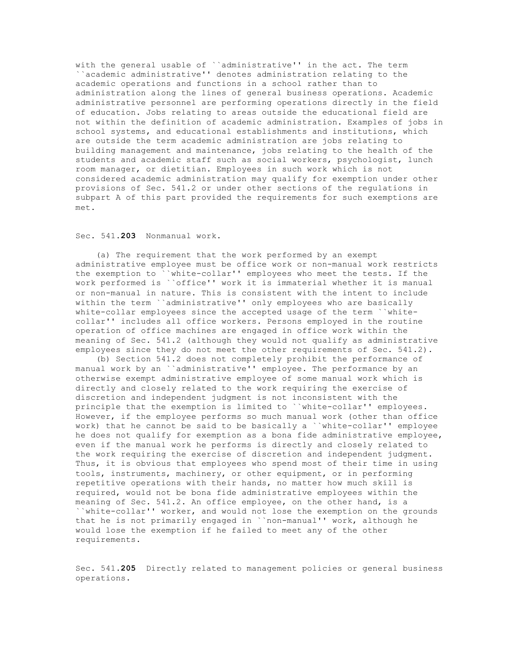with the general usable of ``administrative'' in the act. The term ``academic administrative'' denotes administration relating to the academic operations and functions in a school rather than to administration along the lines of general business operations. Academic administrative personnel are performing operations directly in the field of education. Jobs relating to areas outside the educational field are not within the definition of academic administration. Examples of jobs in school systems, and educational establishments and institutions, which are outside the term academic administration are jobs relating to building management and maintenance, jobs relating to the health of the students and academic staff such as social workers, psychologist, lunch room manager, or dietitian. Employees in such work which is not considered academic administration may qualify for exemption under other provisions of Sec. 541.2 or under other sections of the regulations in subpart A of this part provided the requirements for such exemptions are met.

# Sec. 541.**203** Nonmanual work.

 (a) The requirement that the work performed by an exempt administrative employee must be office work or non-manual work restricts<br>the exemption to ``white-collar'' employees who meet the tests. If the the exemption to ``white-collar'' employees who meet the tests. If the work performed is ``office'' work it is immaterial whether it is manual or non-manual in nature. This is consistent with the intent to include within the term ``administrative'' only employees who are basically white-collar employees since the accepted usage of the term ``whitecollar'' includes all office workers. Persons employed in the routine operation of office machines are engaged in office work within the meaning of Sec. 541.2 (although they would not qualify as administrative employees since they do not meet the other requirements of Sec. 541.2).

 (b) Section 541.2 does not completely prohibit the performance of manual work by an ``administrative'' employee. The performance by an otherwise exempt administrative employee of some manual work which is directly and closely related to the work requiring the exercise of discretion and independent judgment is not inconsistent with the principle that the exemption is limited to ``white-collar'' employees. However, if the employee performs so much manual work (other than office work) that he cannot be said to be basically a ``white-collar'' employee he does not qualify for exemption as a bona fide administrative employee, even if the manual work he performs is directly and closely related to the work requiring the exercise of discretion and independent judgment. Thus, it is obvious that employees who spend most of their time in using tools, instruments, machinery, or other equipment, or in performing repetitive operations with their hands, no matter how much skill is required, would not be bona fide administrative employees within the meaning of Sec. 541.2. An office employee, on the other hand, is a ``white-collar'' worker, and would not lose the exemption on the grounds that he is not primarily engaged in ``non-manual'' work, although he would lose the exemption if he failed to meet any of the other requirements.

Sec. 541.**205** Directly related to management policies or general business operations.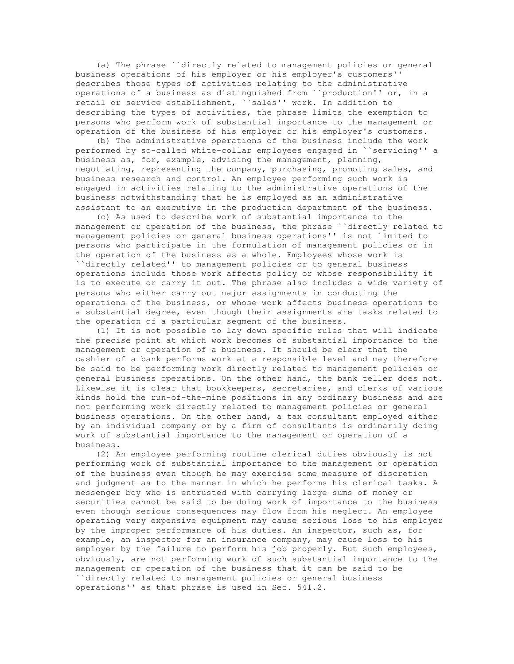(a) The phrase ``directly related to management policies or general business operations of his employer or his employer's customers'' describes those types of activities relating to the administrative operations of a business as distinguished from ``production'' or, in a retail or service establishment, ``sales'' work. In addition to describing the types of activities, the phrase limits the exemption to persons who perform work of substantial importance to the management or operation of the business of his employer or his employer's customers.

 (b) The administrative operations of the business include the work performed by so-called white-collar employees engaged in ``servicing'' a business as, for, example, advising the management, planning, negotiating, representing the company, purchasing, promoting sales, and business research and control. An employee performing such work is engaged in activities relating to the administrative operations of the business notwithstanding that he is employed as an administrative assistant to an executive in the production department of the business.

 (c) As used to describe work of substantial importance to the management or operation of the business, the phrase ``directly related to management policies or general business operations'' is not limited to persons who participate in the formulation of management policies or in the operation of the business as a whole. Employees whose work is ``directly related'' to management policies or to general business operations include those work affects policy or whose responsibility it is to execute or carry it out. The phrase also includes a wide variety of persons who either carry out major assignments in conducting the operations of the business, or whose work affects business operations to a substantial degree, even though their assignments are tasks related to the operation of a particular segment of the business.

 (1) It is not possible to lay down specific rules that will indicate the precise point at which work becomes of substantial importance to the management or operation of a business. It should be clear that the cashier of a bank performs work at a responsible level and may therefore be said to be performing work directly related to management policies or general business operations. On the other hand, the bank teller does not. Likewise it is clear that bookkeepers, secretaries, and clerks of various kinds hold the run-of-the-mine positions in any ordinary business and are not performing work directly related to management policies or general business operations. On the other hand, a tax consultant employed either by an individual company or by a firm of consultants is ordinarily doing work of substantial importance to the management or operation of a business.

 (2) An employee performing routine clerical duties obviously is not performing work of substantial importance to the management or operation of the business even though he may exercise some measure of discretion and judgment as to the manner in which he performs his clerical tasks. A messenger boy who is entrusted with carrying large sums of money or securities cannot be said to be doing work of importance to the business even though serious consequences may flow from his neglect. An employee operating very expensive equipment may cause serious loss to his employer by the improper performance of his duties. An inspector, such as, for example, an inspector for an insurance company, may cause loss to his employer by the failure to perform his job properly. But such employees, obviously, are not performing work of such substantial importance to the management or operation of the business that it can be said to be ``directly related to management policies or general business operations'' as that phrase is used in Sec. 541.2.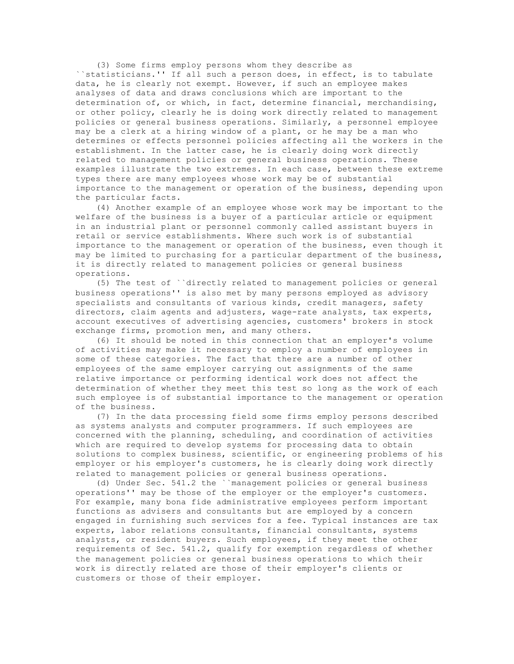(3) Some firms employ persons whom they describe as ``statisticians.'' If all such a person does, in effect, is to tabulate data, he is clearly not exempt. However, if such an employee makes analyses of data and draws conclusions which are important to the determination of, or which, in fact, determine financial, merchandising, or other policy, clearly he is doing work directly related to management policies or general business operations. Similarly, a personnel employee may be a clerk at a hiring window of a plant, or he may be a man who determines or effects personnel policies affecting all the workers in the establishment. In the latter case, he is clearly doing work directly related to management policies or general business operations. These examples illustrate the two extremes. In each case, between these extreme types there are many employees whose work may be of substantial importance to the management or operation of the business, depending upon the particular facts.

 (4) Another example of an employee whose work may be important to the welfare of the business is a buyer of a particular article or equipment in an industrial plant or personnel commonly called assistant buyers in retail or service establishments. Where such work is of substantial importance to the management or operation of the business, even though it may be limited to purchasing for a particular department of the business, it is directly related to management policies or general business operations.

 (5) The test of ``directly related to management policies or general business operations'' is also met by many persons employed as advisory specialists and consultants of various kinds, credit managers, safety directors, claim agents and adjusters, wage-rate analysts, tax experts, account executives of advertising agencies, customers' brokers in stock exchange firms, promotion men, and many others.

 (6) It should be noted in this connection that an employer's volume of activities may make it necessary to employ a number of employees in some of these categories. The fact that there are a number of other employees of the same employer carrying out assignments of the same relative importance or performing identical work does not affect the determination of whether they meet this test so long as the work of each such employee is of substantial importance to the management or operation of the business.

 (7) In the data processing field some firms employ persons described as systems analysts and computer programmers. If such employees are concerned with the planning, scheduling, and coordination of activities which are required to develop systems for processing data to obtain solutions to complex business, scientific, or engineering problems of his employer or his employer's customers, he is clearly doing work directly related to management policies or general business operations.

 (d) Under Sec. 541.2 the ``management policies or general business operations'' may be those of the employer or the employer's customers. For example, many bona fide administrative employees perform important functions as advisers and consultants but are employed by a concern engaged in furnishing such services for a fee. Typical instances are tax experts, labor relations consultants, financial consultants, systems analysts, or resident buyers. Such employees, if they meet the other requirements of Sec. 541.2, qualify for exemption regardless of whether the management policies or general business operations to which their work is directly related are those of their employer's clients or customers or those of their employer.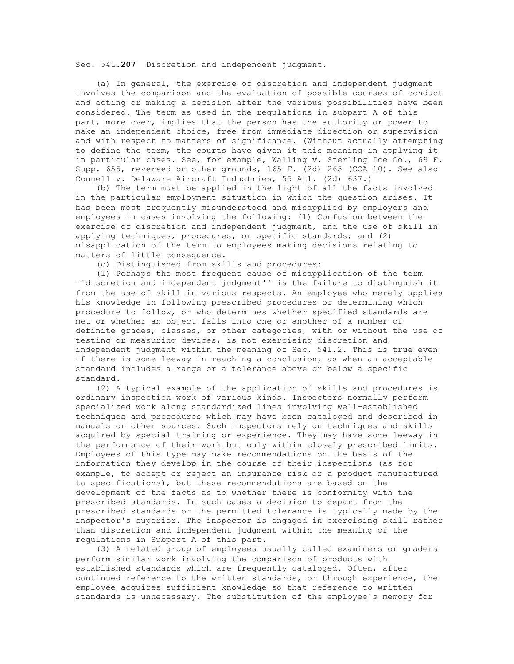Sec. 541.**207** Discretion and independent judgment.

 (a) In general, the exercise of discretion and independent judgment involves the comparison and the evaluation of possible courses of conduct and acting or making a decision after the various possibilities have been considered. The term as used in the regulations in subpart A of this part, more over, implies that the person has the authority or power to make an independent choice, free from immediate direction or supervision and with respect to matters of significance. (Without actually attempting to define the term, the courts have given it this meaning in applying it in particular cases. See, for example, Walling v. Sterling Ice Co., 69 F. Supp. 655, reversed on other grounds, 165 F. (2d) 265 (CCA 10). See also Connell v. Delaware Aircraft Industries, 55 Atl. (2d) 637.)

 (b) The term must be applied in the light of all the facts involved in the particular employment situation in which the question arises. It has been most frequently misunderstood and misapplied by employers and employees in cases involving the following: (1) Confusion between the exercise of discretion and independent judgment, and the use of skill in applying techniques, procedures, or specific standards; and (2) misapplication of the term to employees making decisions relating to matters of little consequence.

(c) Distinguished from skills and procedures:

 (1) Perhaps the most frequent cause of misapplication of the term ``discretion and independent judgment'' is the failure to distinguish it from the use of skill in various respects. An employee who merely applies his knowledge in following prescribed procedures or determining which procedure to follow, or who determines whether specified standards are met or whether an object falls into one or another of a number of definite grades, classes, or other categories, with or without the use of testing or measuring devices, is not exercising discretion and independent judgment within the meaning of Sec. 541.2. This is true even if there is some leeway in reaching a conclusion, as when an acceptable standard includes a range or a tolerance above or below a specific standard.

 (2) A typical example of the application of skills and procedures is ordinary inspection work of various kinds. Inspectors normally perform specialized work along standardized lines involving well-established techniques and procedures which may have been cataloged and described in manuals or other sources. Such inspectors rely on techniques and skills acquired by special training or experience. They may have some leeway in the performance of their work but only within closely prescribed limits. Employees of this type may make recommendations on the basis of the information they develop in the course of their inspections (as for example, to accept or reject an insurance risk or a product manufactured to specifications), but these recommendations are based on the development of the facts as to whether there is conformity with the prescribed standards. In such cases a decision to depart from the prescribed standards or the permitted tolerance is typically made by the inspector's superior. The inspector is engaged in exercising skill rather than discretion and independent judgment within the meaning of the regulations in Subpart A of this part.

 (3) A related group of employees usually called examiners or graders perform similar work involving the comparison of products with established standards which are frequently cataloged. Often, after continued reference to the written standards, or through experience, the employee acquires sufficient knowledge so that reference to written standards is unnecessary. The substitution of the employee's memory for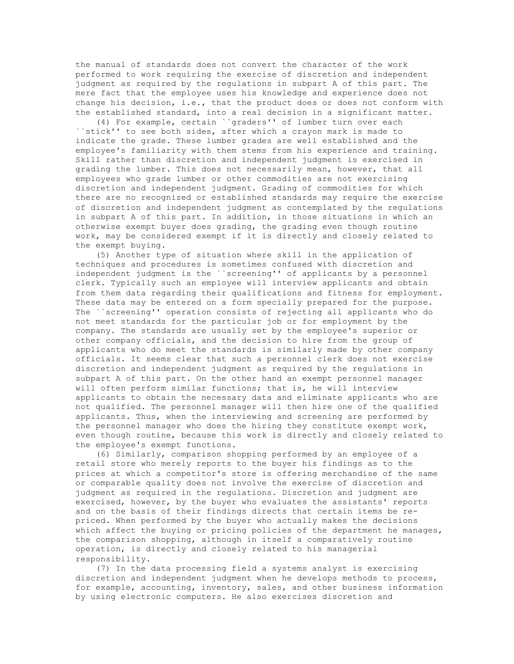the manual of standards does not convert the character of the work performed to work requiring the exercise of discretion and independent judgment as required by the regulations in subpart A of this part. The mere fact that the employee uses his knowledge and experience does not change his decision, i.e., that the product does or does not conform with the established standard, into a real decision in a significant matter.

 (4) For example, certain ``graders'' of lumber turn over each ``stick'' to see both sides, after which a crayon mark is made to indicate the grade. These lumber grades are well established and the employee's familiarity with them stems from his experience and training. Skill rather than discretion and independent judgment is exercised in grading the lumber. This does not necessarily mean, however, that all employees who grade lumber or other commodities are not exercising discretion and independent judgment. Grading of commodities for which there are no recognized or established standards may require the exercise of discretion and independent judgment as contemplated by the regulations in subpart A of this part. In addition, in those situations in which an otherwise exempt buyer does grading, the grading even though routine work, may be considered exempt if it is directly and closely related to the exempt buying.

 (5) Another type of situation where skill in the application of techniques and procedures is sometimes confused with discretion and independent judgment is the ``screening'' of applicants by a personnel clerk. Typically such an employee will interview applicants and obtain from them data regarding their qualifications and fitness for employment. These data may be entered on a form specially prepared for the purpose. The ``screening'' operation consists of rejecting all applicants who do not meet standards for the particular job or for employment by the company. The standards are usually set by the employee's superior or other company officials, and the decision to hire from the group of applicants who do meet the standards is similarly made by other company officials. It seems clear that such a personnel clerk does not exercise discretion and independent judgment as required by the regulations in subpart A of this part. On the other hand an exempt personnel manager will often perform similar functions; that is, he will interview applicants to obtain the necessary data and eliminate applicants who are not qualified. The personnel manager will then hire one of the qualified applicants. Thus, when the interviewing and screening are performed by the personnel manager who does the hiring they constitute exempt work, even though routine, because this work is directly and closely related to the employee's exempt functions.

 (6) Similarly, comparison shopping performed by an employee of a retail store who merely reports to the buyer his findings as to the prices at which a competitor's store is offering merchandise of the same or comparable quality does not involve the exercise of discretion and judgment as required in the regulations. Discretion and judgment are exercised, however, by the buyer who evaluates the assistants' reports and on the basis of their findings directs that certain items be repriced. When performed by the buyer who actually makes the decisions which affect the buying or pricing policies of the department he manages, the comparison shopping, although in itself a comparatively routine operation, is directly and closely related to his managerial responsibility.

 (7) In the data processing field a systems analyst is exercising discretion and independent judgment when he develops methods to process, for example, accounting, inventory, sales, and other business information by using electronic computers. He also exercises discretion and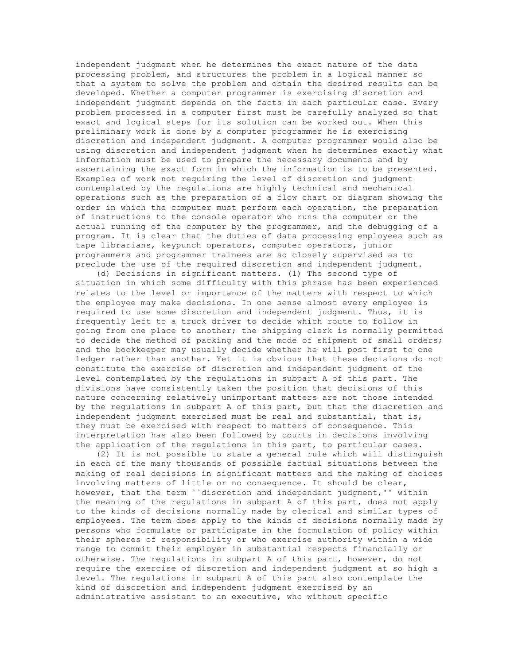independent judgment when he determines the exact nature of the data processing problem, and structures the problem in a logical manner so that a system to solve the problem and obtain the desired results can be developed. Whether a computer programmer is exercising discretion and independent judgment depends on the facts in each particular case. Every problem processed in a computer first must be carefully analyzed so that exact and logical steps for its solution can be worked out. When this preliminary work is done by a computer programmer he is exercising discretion and independent judgment. A computer programmer would also be using discretion and independent judgment when he determines exactly what information must be used to prepare the necessary documents and by ascertaining the exact form in which the information is to be presented. Examples of work not requiring the level of discretion and judgment contemplated by the regulations are highly technical and mechanical operations such as the preparation of a flow chart or diagram showing the order in which the computer must perform each operation, the preparation of instructions to the console operator who runs the computer or the actual running of the computer by the programmer, and the debugging of a program. It is clear that the duties of data processing employees such as tape librarians, keypunch operators, computer operators, junior programmers and programmer trainees are so closely supervised as to preclude the use of the required discretion and independent judgment.

 (d) Decisions in significant matters. (1) The second type of situation in which some difficulty with this phrase has been experienced relates to the level or importance of the matters with respect to which the employee may make decisions. In one sense almost every employee is required to use some discretion and independent judgment. Thus, it is frequently left to a truck driver to decide which route to follow in going from one place to another; the shipping clerk is normally permitted to decide the method of packing and the mode of shipment of small orders; and the bookkeeper may usually decide whether he will post first to one ledger rather than another. Yet it is obvious that these decisions do not constitute the exercise of discretion and independent judgment of the level contemplated by the regulations in subpart A of this part. The divisions have consistently taken the position that decisions of this nature concerning relatively unimportant matters are not those intended by the regulations in subpart A of this part, but that the discretion and independent judgment exercised must be real and substantial, that is, they must be exercised with respect to matters of consequence. This interpretation has also been followed by courts in decisions involving the application of the regulations in this part, to particular cases.

 (2) It is not possible to state a general rule which will distinguish in each of the many thousands of possible factual situations between the making of real decisions in significant matters and the making of choices involving matters of little or no consequence. It should be clear, however, that the term ``discretion and independent judgment,'' within the meaning of the regulations in subpart A of this part, does not apply to the kinds of decisions normally made by clerical and similar types of employees. The term does apply to the kinds of decisions normally made by persons who formulate or participate in the formulation of policy within their spheres of responsibility or who exercise authority within a wide range to commit their employer in substantial respects financially or otherwise. The regulations in subpart A of this part, however, do not require the exercise of discretion and independent judgment at so high a level. The regulations in subpart A of this part also contemplate the kind of discretion and independent judgment exercised by an administrative assistant to an executive, who without specific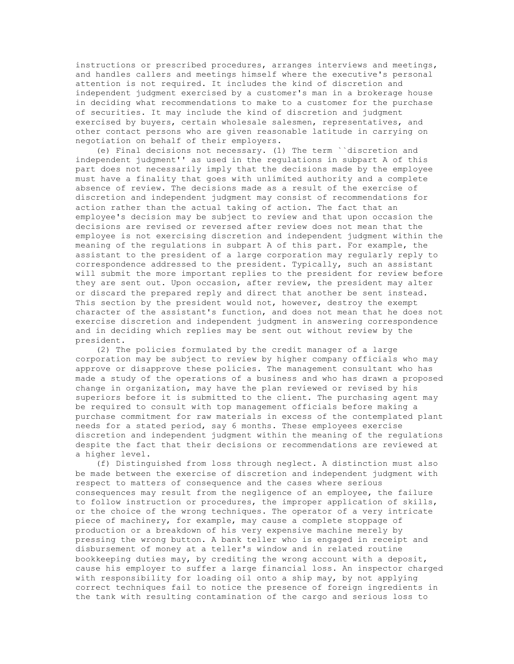instructions or prescribed procedures, arranges interviews and meetings, and handles callers and meetings himself where the executive's personal attention is not required. It includes the kind of discretion and independent judgment exercised by a customer's man in a brokerage house in deciding what recommendations to make to a customer for the purchase of securities. It may include the kind of discretion and judgment exercised by buyers, certain wholesale salesmen, representatives, and other contact persons who are given reasonable latitude in carrying on negotiation on behalf of their employers.

 (e) Final decisions not necessary. (1) The term ``discretion and independent judgment'' as used in the regulations in subpart A of this part does not necessarily imply that the decisions made by the employee must have a finality that goes with unlimited authority and a complete absence of review. The decisions made as a result of the exercise of discretion and independent judgment may consist of recommendations for action rather than the actual taking of action. The fact that an employee's decision may be subject to review and that upon occasion the decisions are revised or reversed after review does not mean that the employee is not exercising discretion and independent judgment within the meaning of the regulations in subpart A of this part. For example, the assistant to the president of a large corporation may regularly reply to correspondence addressed to the president. Typically, such an assistant will submit the more important replies to the president for review before they are sent out. Upon occasion, after review, the president may alter or discard the prepared reply and direct that another be sent instead. This section by the president would not, however, destroy the exempt character of the assistant's function, and does not mean that he does not exercise discretion and independent judgment in answering correspondence and in deciding which replies may be sent out without review by the president.

 (2) The policies formulated by the credit manager of a large corporation may be subject to review by higher company officials who may approve or disapprove these policies. The management consultant who has made a study of the operations of a business and who has drawn a proposed change in organization, may have the plan reviewed or revised by his superiors before it is submitted to the client. The purchasing agent may be required to consult with top management officials before making a purchase commitment for raw materials in excess of the contemplated plant needs for a stated period, say 6 months. These employees exercise discretion and independent judgment within the meaning of the regulations despite the fact that their decisions or recommendations are reviewed at a higher level.

 (f) Distinguished from loss through neglect. A distinction must also be made between the exercise of discretion and independent judgment with respect to matters of consequence and the cases where serious consequences may result from the negligence of an employee, the failure to follow instruction or procedures, the improper application of skills, or the choice of the wrong techniques. The operator of a very intricate piece of machinery, for example, may cause a complete stoppage of production or a breakdown of his very expensive machine merely by pressing the wrong button. A bank teller who is engaged in receipt and disbursement of money at a teller's window and in related routine bookkeeping duties may, by crediting the wrong account with a deposit, cause his employer to suffer a large financial loss. An inspector charged with responsibility for loading oil onto a ship may, by not applying correct techniques fail to notice the presence of foreign ingredients in the tank with resulting contamination of the cargo and serious loss to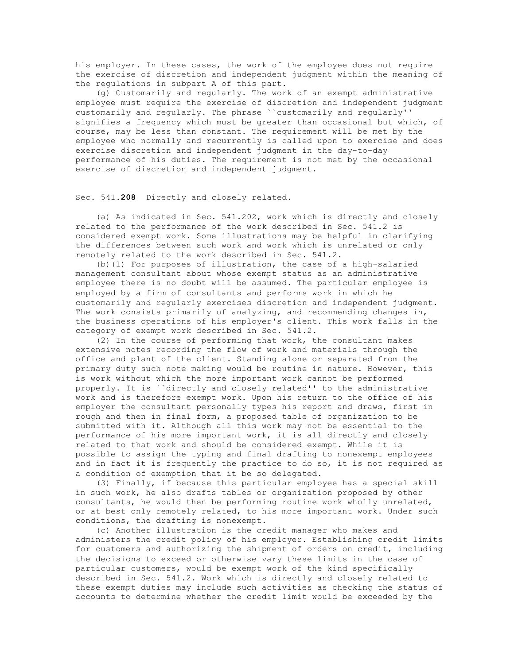his employer. In these cases, the work of the employee does not require the exercise of discretion and independent judgment within the meaning of the regulations in subpart A of this part.

 (g) Customarily and regularly. The work of an exempt administrative employee must require the exercise of discretion and independent judgment customarily and regularly. The phrase ``customarily and regularly'' signifies a frequency which must be greater than occasional but which, of course, may be less than constant. The requirement will be met by the employee who normally and recurrently is called upon to exercise and does exercise discretion and independent judgment in the day-to-day performance of his duties. The requirement is not met by the occasional exercise of discretion and independent judgment.

Sec. 541.**208** Directly and closely related.

 (a) As indicated in Sec. 541.202, work which is directly and closely related to the performance of the work described in Sec. 541.2 is considered exempt work. Some illustrations may be helpful in clarifying the differences between such work and work which is unrelated or only remotely related to the work described in Sec. 541.2.

 (b)(1) For purposes of illustration, the case of a high-salaried management consultant about whose exempt status as an administrative employee there is no doubt will be assumed. The particular employee is employed by a firm of consultants and performs work in which he customarily and regularly exercises discretion and independent judgment. The work consists primarily of analyzing, and recommending changes in, the business operations of his employer's client. This work falls in the category of exempt work described in Sec. 541.2.

 (2) In the course of performing that work, the consultant makes extensive notes recording the flow of work and materials through the office and plant of the client. Standing alone or separated from the primary duty such note making would be routine in nature. However, this is work without which the more important work cannot be performed properly. It is ``directly and closely related'' to the administrative work and is therefore exempt work. Upon his return to the office of his employer the consultant personally types his report and draws, first in rough and then in final form, a proposed table of organization to be submitted with it. Although all this work may not be essential to the performance of his more important work, it is all directly and closely related to that work and should be considered exempt. While it is possible to assign the typing and final drafting to nonexempt employees and in fact it is frequently the practice to do so, it is not required as a condition of exemption that it be so delegated.

 (3) Finally, if because this particular employee has a special skill in such work, he also drafts tables or organization proposed by other consultants, he would then be performing routine work wholly unrelated, or at best only remotely related, to his more important work. Under such conditions, the drafting is nonexempt.

 (c) Another illustration is the credit manager who makes and administers the credit policy of his employer. Establishing credit limits for customers and authorizing the shipment of orders on credit, including the decisions to exceed or otherwise vary these limits in the case of particular customers, would be exempt work of the kind specifically described in Sec. 541.2. Work which is directly and closely related to these exempt duties may include such activities as checking the status of accounts to determine whether the credit limit would be exceeded by the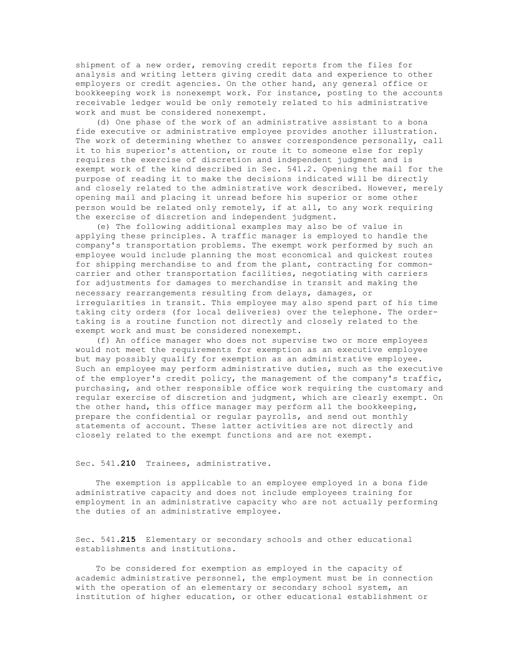shipment of a new order, removing credit reports from the files for analysis and writing letters giving credit data and experience to other employers or credit agencies. On the other hand, any general office or bookkeeping work is nonexempt work. For instance, posting to the accounts receivable ledger would be only remotely related to his administrative work and must be considered nonexempt.

 (d) One phase of the work of an administrative assistant to a bona fide executive or administrative employee provides another illustration. The work of determining whether to answer correspondence personally, call it to his superior's attention, or route it to someone else for reply requires the exercise of discretion and independent judgment and is exempt work of the kind described in Sec. 541.2. Opening the mail for the purpose of reading it to make the decisions indicated will be directly and closely related to the administrative work described. However, merely opening mail and placing it unread before his superior or some other person would be related only remotely, if at all, to any work requiring the exercise of discretion and independent judgment.

 (e) The following additional examples may also be of value in applying these principles. A traffic manager is employed to handle the company's transportation problems. The exempt work performed by such an employee would include planning the most economical and quickest routes for shipping merchandise to and from the plant, contracting for commoncarrier and other transportation facilities, negotiating with carriers for adjustments for damages to merchandise in transit and making the necessary rearrangements resulting from delays, damages, or irregularities in transit. This employee may also spend part of his time taking city orders (for local deliveries) over the telephone. The ordertaking is a routine function not directly and closely related to the exempt work and must be considered nonexempt.

 (f) An office manager who does not supervise two or more employees would not meet the requirements for exemption as an executive employee but may possibly qualify for exemption as an administrative employee. Such an employee may perform administrative duties, such as the executive of the employer's credit policy, the management of the company's traffic, purchasing, and other responsible office work requiring the customary and regular exercise of discretion and judgment, which are clearly exempt. On the other hand, this office manager may perform all the bookkeeping, prepare the confidential or regular payrolls, and send out monthly statements of account. These latter activities are not directly and closely related to the exempt functions and are not exempt.

#### Sec. 541.**210** Trainees, administrative.

 The exemption is applicable to an employee employed in a bona fide administrative capacity and does not include employees training for employment in an administrative capacity who are not actually performing the duties of an administrative employee.

Sec. 541.**215** Elementary or secondary schools and other educational establishments and institutions.

 To be considered for exemption as employed in the capacity of academic administrative personnel, the employment must be in connection with the operation of an elementary or secondary school system, an institution of higher education, or other educational establishment or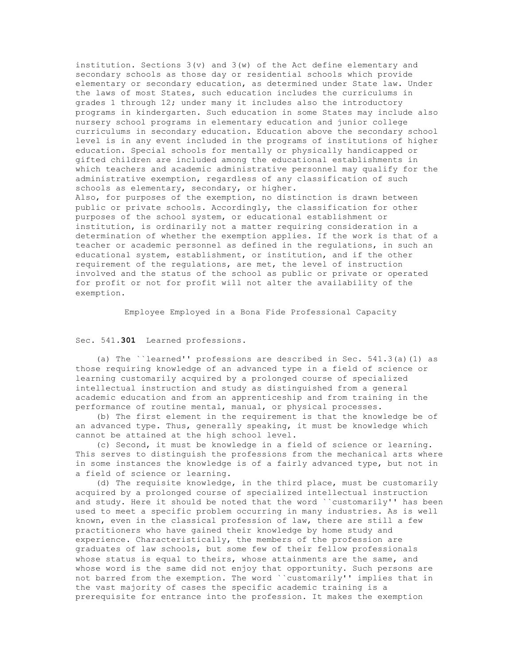institution. Sections  $3(v)$  and  $3(w)$  of the Act define elementary and secondary schools as those day or residential schools which provide elementary or secondary education, as determined under State law. Under the laws of most States, such education includes the curriculums in grades 1 through 12; under many it includes also the introductory programs in kindergarten. Such education in some States may include also nursery school programs in elementary education and junior college curriculums in secondary education. Education above the secondary school level is in any event included in the programs of institutions of higher education. Special schools for mentally or physically handicapped or gifted children are included among the educational establishments in which teachers and academic administrative personnel may qualify for the administrative exemption, regardless of any classification of such schools as elementary, secondary, or higher. Also, for purposes of the exemption, no distinction is drawn between public or private schools. Accordingly, the classification for other purposes of the school system, or educational establishment or institution, is ordinarily not a matter requiring consideration in a determination of whether the exemption applies. If the work is that of a teacher or academic personnel as defined in the regulations, in such an educational system, establishment, or institution, and if the other requirement of the regulations, are met, the level of instruction involved and the status of the school as public or private or operated for profit or not for profit will not alter the availability of the exemption.

Employee Employed in a Bona Fide Professional Capacity

Sec. 541.**301** Learned professions.

 (a) The ``learned'' professions are described in Sec. 541.3(a)(1) as those requiring knowledge of an advanced type in a field of science or learning customarily acquired by a prolonged course of specialized intellectual instruction and study as distinguished from a general academic education and from an apprenticeship and from training in the performance of routine mental, manual, or physical processes.

 (b) The first element in the requirement is that the knowledge be of an advanced type. Thus, generally speaking, it must be knowledge which cannot be attained at the high school level.

 (c) Second, it must be knowledge in a field of science or learning. This serves to distinguish the professions from the mechanical arts where in some instances the knowledge is of a fairly advanced type, but not in a field of science or learning.

 (d) The requisite knowledge, in the third place, must be customarily acquired by a prolonged course of specialized intellectual instruction and study. Here it should be noted that the word ``customarily'' has been used to meet a specific problem occurring in many industries. As is well known, even in the classical profession of law, there are still a few practitioners who have gained their knowledge by home study and experience. Characteristically, the members of the profession are graduates of law schools, but some few of their fellow professionals whose status is equal to theirs, whose attainments are the same, and whose word is the same did not enjoy that opportunity. Such persons are not barred from the exemption. The word ``customarily'' implies that in the vast majority of cases the specific academic training is a prerequisite for entrance into the profession. It makes the exemption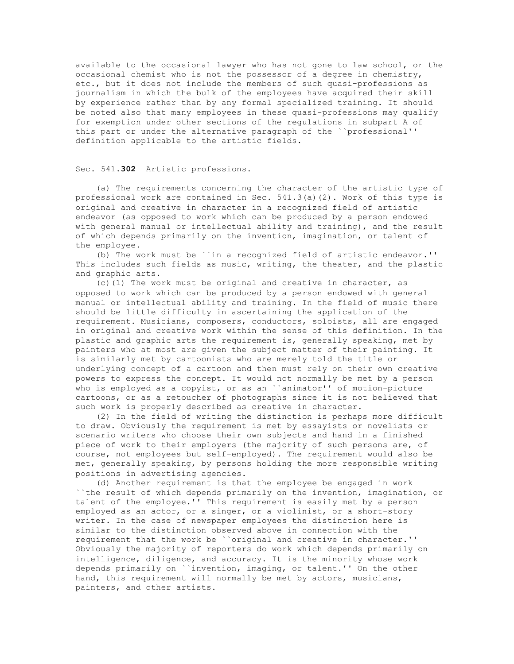available to the occasional lawyer who has not gone to law school, or the occasional chemist who is not the possessor of a degree in chemistry, etc., but it does not include the members of such quasi-professions as journalism in which the bulk of the employees have acquired their skill by experience rather than by any formal specialized training. It should be noted also that many employees in these quasi-professions may qualify for exemption under other sections of the regulations in subpart A of this part or under the alternative paragraph of the ``professional'' definition applicable to the artistic fields.

Sec. 541.**302** Artistic professions.

 (a) The requirements concerning the character of the artistic type of professional work are contained in Sec. 541.3(a)(2). Work of this type is original and creative in character in a recognized field of artistic endeavor (as opposed to work which can be produced by a person endowed with general manual or intellectual ability and training), and the result of which depends primarily on the invention, imagination, or talent of the employee.

 (b) The work must be ``in a recognized field of artistic endeavor.'' This includes such fields as music, writing, the theater, and the plastic and graphic arts.

 (c)(1) The work must be original and creative in character, as opposed to work which can be produced by a person endowed with general manual or intellectual ability and training. In the field of music there should be little difficulty in ascertaining the application of the requirement. Musicians, composers, conductors, soloists, all are engaged in original and creative work within the sense of this definition. In the plastic and graphic arts the requirement is, generally speaking, met by painters who at most are given the subject matter of their painting. It is similarly met by cartoonists who are merely told the title or underlying concept of a cartoon and then must rely on their own creative powers to express the concept. It would not normally be met by a person who is employed as a copyist, or as an ``animator'' of motion-picture cartoons, or as a retoucher of photographs since it is not believed that such work is properly described as creative in character.

 (2) In the field of writing the distinction is perhaps more difficult to draw. Obviously the requirement is met by essayists or novelists or scenario writers who choose their own subjects and hand in a finished piece of work to their employers (the majority of such persons are, of course, not employees but self-employed). The requirement would also be met, generally speaking, by persons holding the more responsible writing positions in advertising agencies.

 (d) Another requirement is that the employee be engaged in work ``the result of which depends primarily on the invention, imagination, or talent of the employee.'' This requirement is easily met by a person employed as an actor, or a singer, or a violinist, or a short-story writer. In the case of newspaper employees the distinction here is similar to the distinction observed above in connection with the requirement that the work be ``original and creative in character.'' Obviously the majority of reporters do work which depends primarily on intelligence, diligence, and accuracy. It is the minority whose work depends primarily on ``invention, imaging, or talent.'' On the other hand, this requirement will normally be met by actors, musicians, painters, and other artists.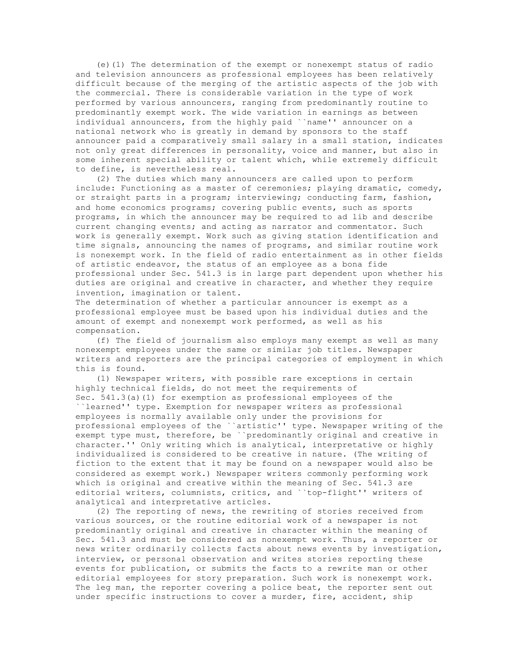(e)(1) The determination of the exempt or nonexempt status of radio and television announcers as professional employees has been relatively difficult because of the merging of the artistic aspects of the job with the commercial. There is considerable variation in the type of work performed by various announcers, ranging from predominantly routine to predominantly exempt work. The wide variation in earnings as between individual announcers, from the highly paid ``name'' announcer on a national network who is greatly in demand by sponsors to the staff announcer paid a comparatively small salary in a small station, indicates not only great differences in personality, voice and manner, but also in some inherent special ability or talent which, while extremely difficult to define, is nevertheless real.

(2) The duties which many announcers are called upon to perform include: Functioning as a master of ceremonies; playing dramatic, comedy, or straight parts in a program; interviewing; conducting farm, fashion, and home economics programs; covering public events, such as sports programs, in which the announcer may be required to ad lib and describe current changing events; and acting as narrator and commentator. Such work is generally exempt. Work such as giving station identification and time signals, announcing the names of programs, and similar routine work is nonexempt work. In the field of radio entertainment as in other fields of artistic endeavor, the status of an employee as a bona fide professional under Sec. 541.3 is in large part dependent upon whether his duties are original and creative in character, and whether they require invention, imagination or talent.

The determination of whether a particular announcer is exempt as a professional employee must be based upon his individual duties and the amount of exempt and nonexempt work performed, as well as his compensation.

 (f) The field of journalism also employs many exempt as well as many nonexempt employees under the same or similar job titles. Newspaper writers and reporters are the principal categories of employment in which this is found.

 (1) Newspaper writers, with possible rare exceptions in certain highly technical fields, do not meet the requirements of Sec. 541.3(a)(1) for exemption as professional employees of the ``learned'' type. Exemption for newspaper writers as professional employees is normally available only under the provisions for professional employees of the ``artistic'' type. Newspaper writing of the exempt type must, therefore, be ``predominantly original and creative in character.'' Only writing which is analytical, interpretative or highly individualized is considered to be creative in nature. (The writing of fiction to the extent that it may be found on a newspaper would also be considered as exempt work.) Newspaper writers commonly performing work which is original and creative within the meaning of Sec. 541.3 are editorial writers, columnists, critics, and ``top-flight'' writers of analytical and interpretative articles.

 (2) The reporting of news, the rewriting of stories received from various sources, or the routine editorial work of a newspaper is not predominantly original and creative in character within the meaning of Sec. 541.3 and must be considered as nonexempt work. Thus, a reporter or news writer ordinarily collects facts about news events by investigation, interview, or personal observation and writes stories reporting these events for publication, or submits the facts to a rewrite man or other editorial employees for story preparation. Such work is nonexempt work. The leg man, the reporter covering a police beat, the reporter sent out under specific instructions to cover a murder, fire, accident, ship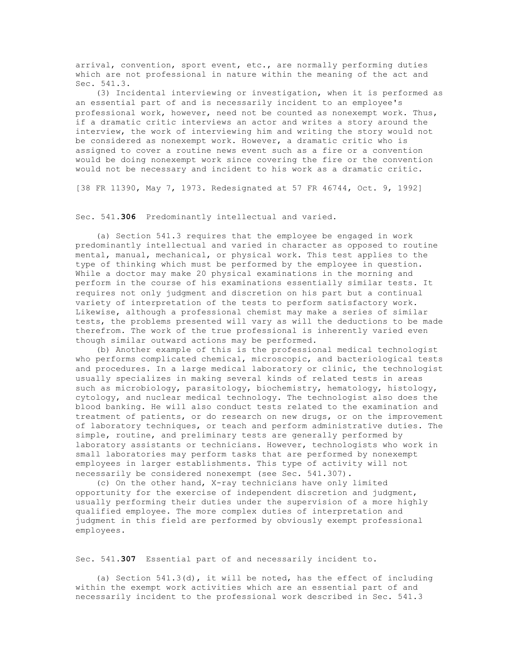arrival, convention, sport event, etc., are normally performing duties which are not professional in nature within the meaning of the act and Sec. 541.3.

 (3) Incidental interviewing or investigation, when it is performed as an essential part of and is necessarily incident to an employee's professional work, however, need not be counted as nonexempt work. Thus, if a dramatic critic interviews an actor and writes a story around the interview, the work of interviewing him and writing the story would not be considered as nonexempt work. However, a dramatic critic who is assigned to cover a routine news event such as a fire or a convention would be doing nonexempt work since covering the fire or the convention would not be necessary and incident to his work as a dramatic critic.

[38 FR 11390, May 7, 1973. Redesignated at 57 FR 46744, Oct. 9, 1992]

#### Sec. 541.**306** Predominantly intellectual and varied.

 (a) Section 541.3 requires that the employee be engaged in work predominantly intellectual and varied in character as opposed to routine mental, manual, mechanical, or physical work. This test applies to the type of thinking which must be performed by the employee in question. While a doctor may make 20 physical examinations in the morning and perform in the course of his examinations essentially similar tests. It requires not only judgment and discretion on his part but a continual variety of interpretation of the tests to perform satisfactory work. Likewise, although a professional chemist may make a series of similar tests, the problems presented will vary as will the deductions to be made therefrom. The work of the true professional is inherently varied even though similar outward actions may be performed.

 (b) Another example of this is the professional medical technologist who performs complicated chemical, microscopic, and bacteriological tests and procedures. In a large medical laboratory or clinic, the technologist usually specializes in making several kinds of related tests in areas such as microbiology, parasitology, biochemistry, hematology, histology, cytology, and nuclear medical technology. The technologist also does the blood banking. He will also conduct tests related to the examination and treatment of patients, or do research on new drugs, or on the improvement of laboratory techniques, or teach and perform administrative duties. The simple, routine, and preliminary tests are generally performed by laboratory assistants or technicians. However, technologists who work in small laboratories may perform tasks that are performed by nonexempt employees in larger establishments. This type of activity will not necessarily be considered nonexempt (see Sec. 541.307).

 (c) On the other hand, X-ray technicians have only limited opportunity for the exercise of independent discretion and judgment, usually performing their duties under the supervision of a more highly qualified employee. The more complex duties of interpretation and judgment in this field are performed by obviously exempt professional employees.

Sec. 541.**307** Essential part of and necessarily incident to.

(a) Section  $541.3$ (d), it will be noted, has the effect of including within the exempt work activities which are an essential part of and necessarily incident to the professional work described in Sec. 541.3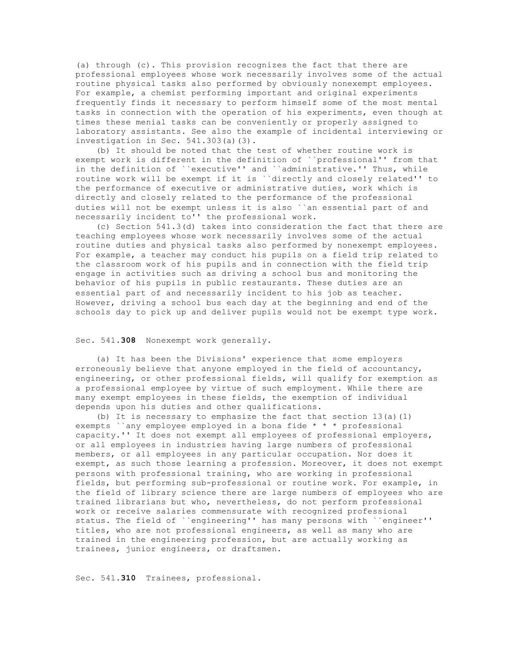(a) through (c). This provision recognizes the fact that there are professional employees whose work necessarily involves some of the actual routine physical tasks also performed by obviously nonexempt employees. For example, a chemist performing important and original experiments frequently finds it necessary to perform himself some of the most mental tasks in connection with the operation of his experiments, even though at times these menial tasks can be conveniently or properly assigned to laboratory assistants. See also the example of incidental interviewing or investigation in Sec. 541.303(a)(3).

 (b) It should be noted that the test of whether routine work is exempt work is different in the definition of ``professional'' from that in the definition of ``executive'' and ``administrative.'' Thus, while routine work will be exempt if it is ``directly and closely related'' to the performance of executive or administrative duties, work which is directly and closely related to the performance of the professional duties will not be exempt unless it is also ``an essential part of and necessarily incident to'' the professional work.

 (c) Section 541.3(d) takes into consideration the fact that there are teaching employees whose work necessarily involves some of the actual routine duties and physical tasks also performed by nonexempt employees. For example, a teacher may conduct his pupils on a field trip related to the classroom work of his pupils and in connection with the field trip engage in activities such as driving a school bus and monitoring the behavior of his pupils in public restaurants. These duties are an essential part of and necessarily incident to his job as teacher. However, driving a school bus each day at the beginning and end of the schools day to pick up and deliver pupils would not be exempt type work.

## Sec. 541.**308** Nonexempt work generally.

 (a) It has been the Divisions' experience that some employers erroneously believe that anyone employed in the field of accountancy, engineering, or other professional fields, will qualify for exemption as a professional employee by virtue of such employment. While there are many exempt employees in these fields, the exemption of individual depends upon his duties and other qualifications.

(b) It is necessary to emphasize the fact that section  $13(a)(1)$ exempts ``any employee employed in a bona fide \* \* \* professional capacity.'' It does not exempt all employees of professional employers, or all employees in industries having large numbers of professional members, or all employees in any particular occupation. Nor does it exempt, as such those learning a profession. Moreover, it does not exempt persons with professional training, who are working in professional fields, but performing sub-professional or routine work. For example, in the field of library science there are large numbers of employees who are trained librarians but who, nevertheless, do not perform professional work or receive salaries commensurate with recognized professional status. The field of ``engineering'' has many persons with ``engineer'' titles, who are not professional engineers, as well as many who are trained in the engineering profession, but are actually working as trainees, junior engineers, or draftsmen.

Sec. 541.**310** Trainees, professional.